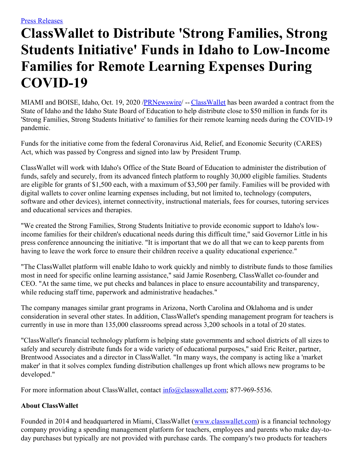## **ClassWallet to Distribute 'Strong Families, Strong Students Initiative' Funds in Idaho to Low-Income Families for Remote Learning Expenses During COVID-19**

MIAMI and BOISE, Idaho, Oct. 19, 2020 [/PRNewswire/](http://www.prnewswire.com/) -- [ClassWallet](https://c212.net/c/link/?t=0&l=en&o=2954510-1&h=829154449&u=https%3A%2F%2Fwww.classwallet.com%2F%3Futm_source%3Dfeintuch%26utm_medium%3Dpress-release%26utm_campaign%3Dpr-web&a=ClassWallet) has been awarded a contract from the State of Idaho and the Idaho State Board of Education to help distribute close to \$50 million in funds for its 'Strong Families, Strong Students Initiative' to families for their remote learning needs during the COVID-19 pandemic.

Funds for the initiative come from the federal Coronavirus Aid, Relief, and Economic Security (CARES) Act, which was passed by Congress and signed into law by President Trump.

ClassWallet will work with Idaho's Office of the State Board of Education to administer the distribution of funds, safely and securely, from its advanced fintech platform to roughly 30,000 eligible families. Students are eligible for grants of \$1,500 each, with a maximum of \$3,500 per family. Families will be provided with digital wallets to cover online learning expenses including, but not limited to, technology (computers, software and other devices), internet connectivity, instructional materials, fees for courses, tutoring services and educational services and therapies.

"We created the Strong Families, Strong Students Initiative to provide economic support to Idaho's lowincome families for their children's educational needs during this difficult time," said Governor Little in his press conference announcing the initiative. "It is important that we do all that we can to keep parents from having to leave the work force to ensure their children receive a quality educational experience."

"The ClassWallet platform will enable Idaho to work quickly and nimbly to distribute funds to those families most in need for specific online learning assistance," said Jamie Rosenberg, ClassWallet co-founder and CEO. "At the same time, we put checks and balances in place to ensure accountability and transparency, while reducing staff time, paperwork and administrative headaches."

The company manages similar grant programs in Arizona, North Carolina and Oklahoma and is under consideration in several other states. In addition, ClassWallet's spending management program for teachers is currently in use in more than 135,000 classrooms spread across 3,200 schools in a total of 20 states.

"ClassWallet's financial technology platform is helping state governments and school districts of all sizes to safely and securely distribute funds for a wide variety of educational purposes," said Eric Reiter, partner, Brentwood Associates and a director in ClassWallet. "In many ways, the company is acting like a 'market maker' in that it solves complex funding distribution challenges up front which allows new programs to be developed."

For more information about ClassWallet, contact  $\frac{info@class{wallet.com}}{info@class{wallet.com}}$ ; 877-969-5536.

## **About ClassWallet**

Founded in 2014 and headquartered in Miami, ClassWallet ([www.classwallet.com](https://c212.net/c/link/?t=0&l=en&o=2954510-1&h=2326204547&u=http%3A%2F%2Fwww.classwallet.com%2F&a=www.classwallet.com)) is a financial technology company providing a spending management platform for teachers, employees and parents who make day-today purchases but typically are not provided with purchase cards. The company's two products for teachers